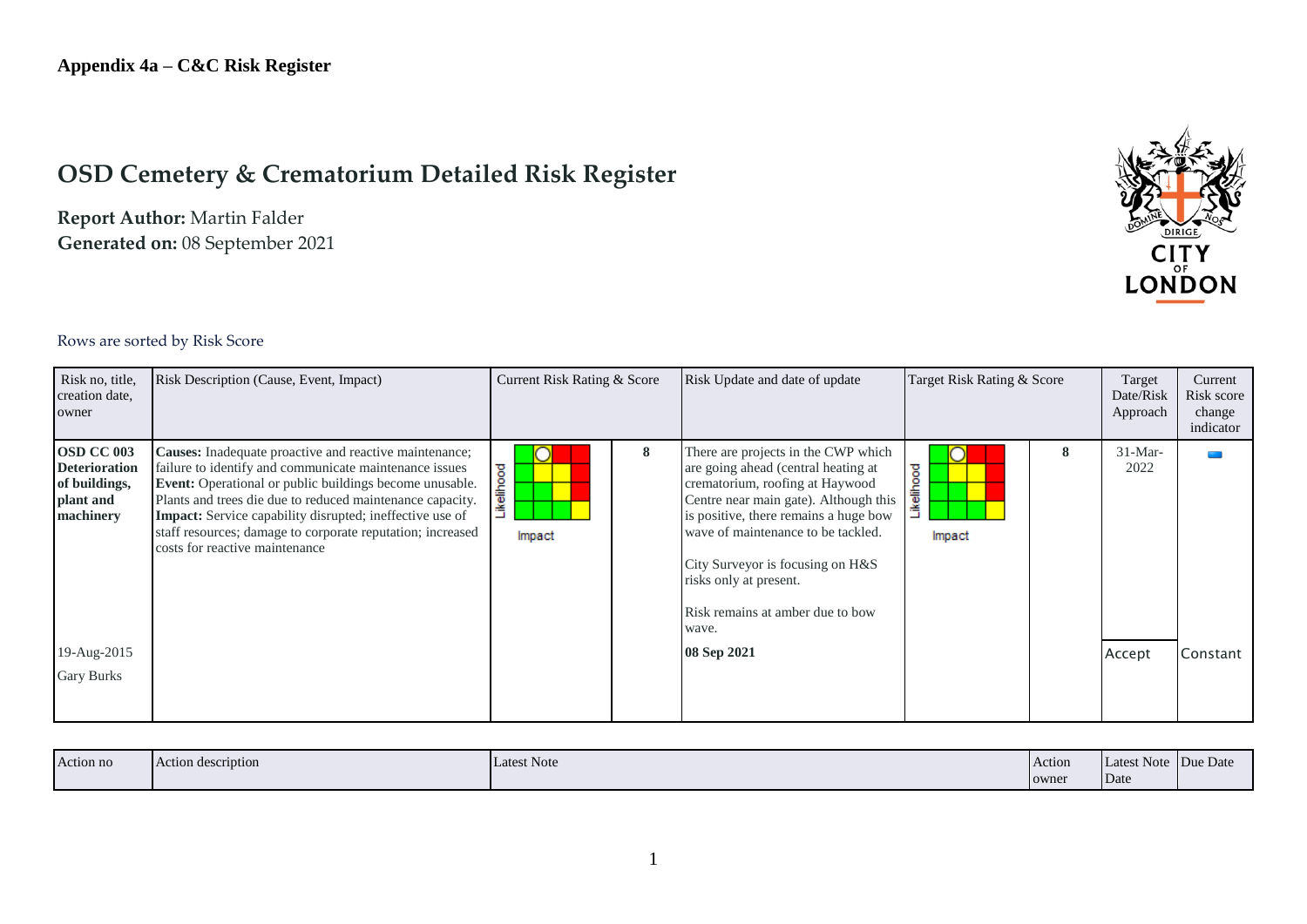# **OSD Cemetery & Crematorium Detailed Risk Register**

**Report Author:** Martin Falder **Generated on:** 08 September 2021



#### Rows are sorted by Risk Score

| Risk no, title,<br>creation date,<br>owner                                                                        | Risk Description (Cause, Event, Impact)                                                                                                                                                                                                                                                                                                                                                                            | Current Risk Rating & Score |   | Risk Update and date of update                                                                                                                                                                                                                                                                                                                                  | Target Risk Rating & Score |   | Target<br>Date/Risk<br>Approach | Current<br>Risk score<br>change<br>indicator |
|-------------------------------------------------------------------------------------------------------------------|--------------------------------------------------------------------------------------------------------------------------------------------------------------------------------------------------------------------------------------------------------------------------------------------------------------------------------------------------------------------------------------------------------------------|-----------------------------|---|-----------------------------------------------------------------------------------------------------------------------------------------------------------------------------------------------------------------------------------------------------------------------------------------------------------------------------------------------------------------|----------------------------|---|---------------------------------|----------------------------------------------|
| <b>OSD CC 003</b><br><b>Deterioration</b><br>of buildings,<br>plant and<br>machinery<br>19-Aug-2015<br>Gary Burks | Causes: Inadequate proactive and reactive maintenance;<br>failure to identify and communicate maintenance issues<br><b>Event:</b> Operational or public buildings become unusable.<br>Plants and trees die due to reduced maintenance capacity.<br><b>Impact:</b> Service capability disrupted; ineffective use of<br>staff resources; damage to corporate reputation; increased<br>costs for reactive maintenance | Likelihood<br>Impact        | 8 | There are projects in the CWP which<br>are going ahead (central heating at<br>crematorium, roofing at Haywood<br>Centre near main gate). Although this<br>is positive, there remains a huge bow<br>wave of maintenance to be tackled.<br>City Surveyor is focusing on H&S<br>risks only at present.<br>Risk remains at amber due to bow<br>wave.<br>08 Sep 2021 | ikelihood<br>Impact        | 8 | $31-Mar-$<br>2022<br>Accept     | Constant                                     |

| Action no | Action description | <b>Latest Note</b> | Action | Latest Note Due Date |  |
|-----------|--------------------|--------------------|--------|----------------------|--|
|           |                    |                    | owner  | Date                 |  |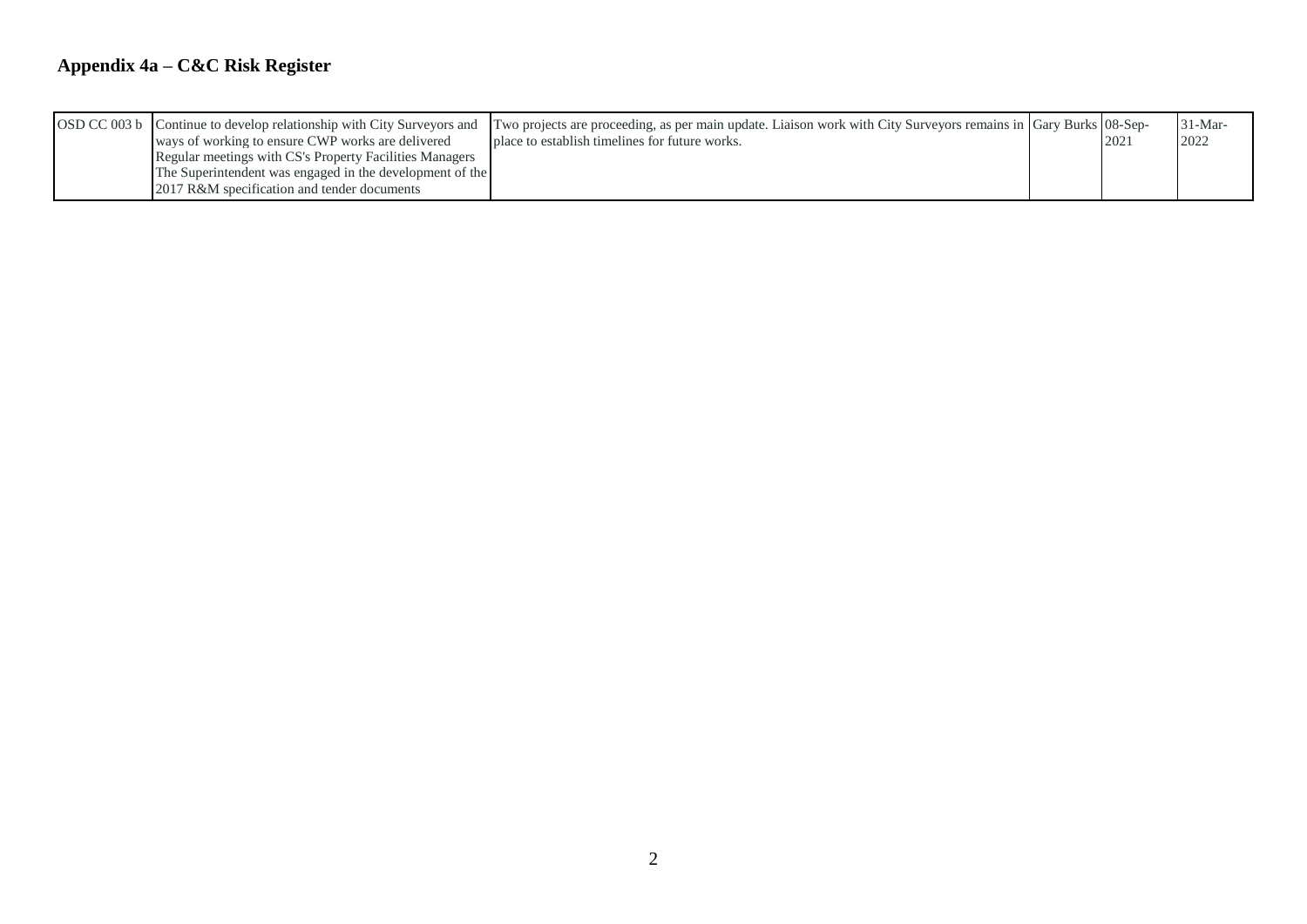## **Appendix 4a – C&C Risk Register**

| OSD CC 003 b Continue to develop relationship with City Surveyors and<br>ways of working to ensure CWP works are delivered                                         | Two projects are proceeding, as per main update. Liaison work with City Surveyors remains in Gary Burks 08-Sep-<br>place to establish timelines for future works. | 202 | $31-Mar-$<br>2022 |
|--------------------------------------------------------------------------------------------------------------------------------------------------------------------|-------------------------------------------------------------------------------------------------------------------------------------------------------------------|-----|-------------------|
| Regular meetings with CS's Property Facilities Managers<br>The Superintendent was engaged in the development of the<br>2017 R&M specification and tender documents |                                                                                                                                                                   |     |                   |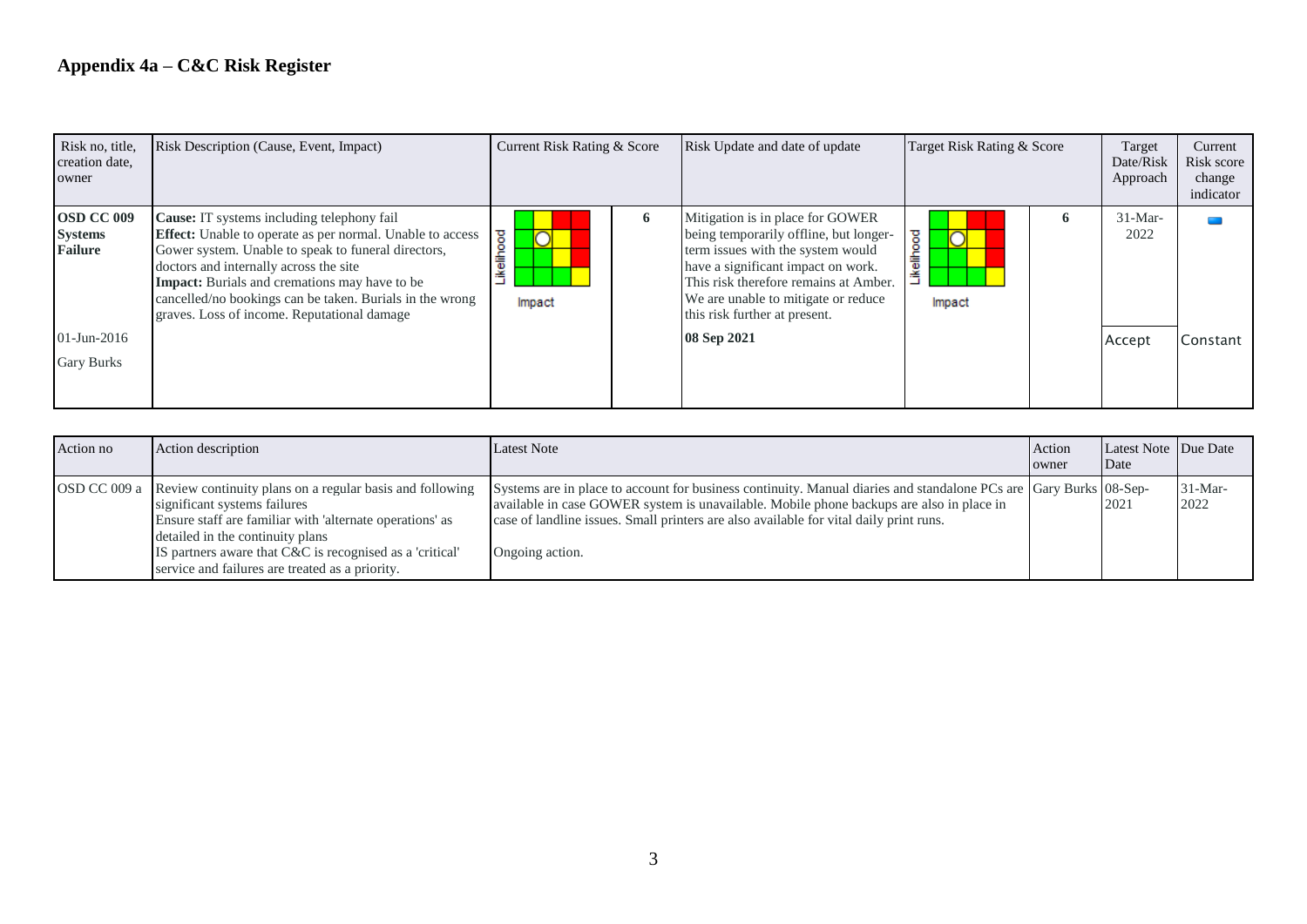| Risk no, title,<br>creation date,<br>owner     | Risk Description (Cause, Event, Impact)                                                                                                                                                                                                                                                                                                                                                   | Current Risk Rating & Score          |              | Risk Update and date of update                                                                                                                                                                                                                                         | Target Risk Rating & Score                |   | Target<br>Date/Risk<br>Approach | Current<br>Risk score<br>change<br>indicator |
|------------------------------------------------|-------------------------------------------------------------------------------------------------------------------------------------------------------------------------------------------------------------------------------------------------------------------------------------------------------------------------------------------------------------------------------------------|--------------------------------------|--------------|------------------------------------------------------------------------------------------------------------------------------------------------------------------------------------------------------------------------------------------------------------------------|-------------------------------------------|---|---------------------------------|----------------------------------------------|
| OSD CC 009<br><b>Systems</b><br><b>Failure</b> | <b>Cause:</b> IT systems including telephony fail<br><b>Effect:</b> Unable to operate as per normal. Unable to access<br>Gower system. Unable to speak to funeral directors,<br>doctors and internally across the site<br><b>Impact:</b> Burials and cremations may have to be<br>cancelled/no bookings can be taken. Burials in the wrong<br>graves. Loss of income. Reputational damage | elihood<br>$\sqrt{ }$<br>≗<br>Impact | $\mathbf{o}$ | Mitigation is in place for GOWER<br>being temporarily offline, but longer-<br>term issues with the system would<br>have a significant impact on work.<br>This risk therefore remains at Amber.<br>We are unable to mitigate or reduce<br>this risk further at present. | ikelihood<br>$\overline{\circ}$<br>Impact | Đ | $31-Mar-$<br>2022               |                                              |
| $01$ -Jun-2016<br><b>Gary Burks</b>            |                                                                                                                                                                                                                                                                                                                                                                                           |                                      |              | 08 Sep 2021                                                                                                                                                                                                                                                            |                                           |   | Accept                          | Constant                                     |

| Action no | Action description                                                                                                                                                                                                                                                                                                   | <b>Latest Note</b>                                                                                                                                                                                                                                                                                                         | Action<br>owner | Latest Note Due Date<br>Date |                   |
|-----------|----------------------------------------------------------------------------------------------------------------------------------------------------------------------------------------------------------------------------------------------------------------------------------------------------------------------|----------------------------------------------------------------------------------------------------------------------------------------------------------------------------------------------------------------------------------------------------------------------------------------------------------------------------|-----------------|------------------------------|-------------------|
|           | OSD CC 009 a Review continuity plans on a regular basis and following<br>significant systems failures<br>Ensure staff are familiar with 'alternate operations' as<br>detailed in the continuity plans<br>IS partners aware that C&C is recognised as a 'critical'<br>service and failures are treated as a priority. | Systems are in place to account for business continuity. Manual diaries and standalone PCs are Gary Burks 08-Sep-<br>available in case GOWER system is unavailable. Mobile phone backups are also in place in<br>case of landline issues. Small printers are also available for vital daily print runs.<br>Ongoing action. |                 | 2021                         | $31-Mar-$<br>2022 |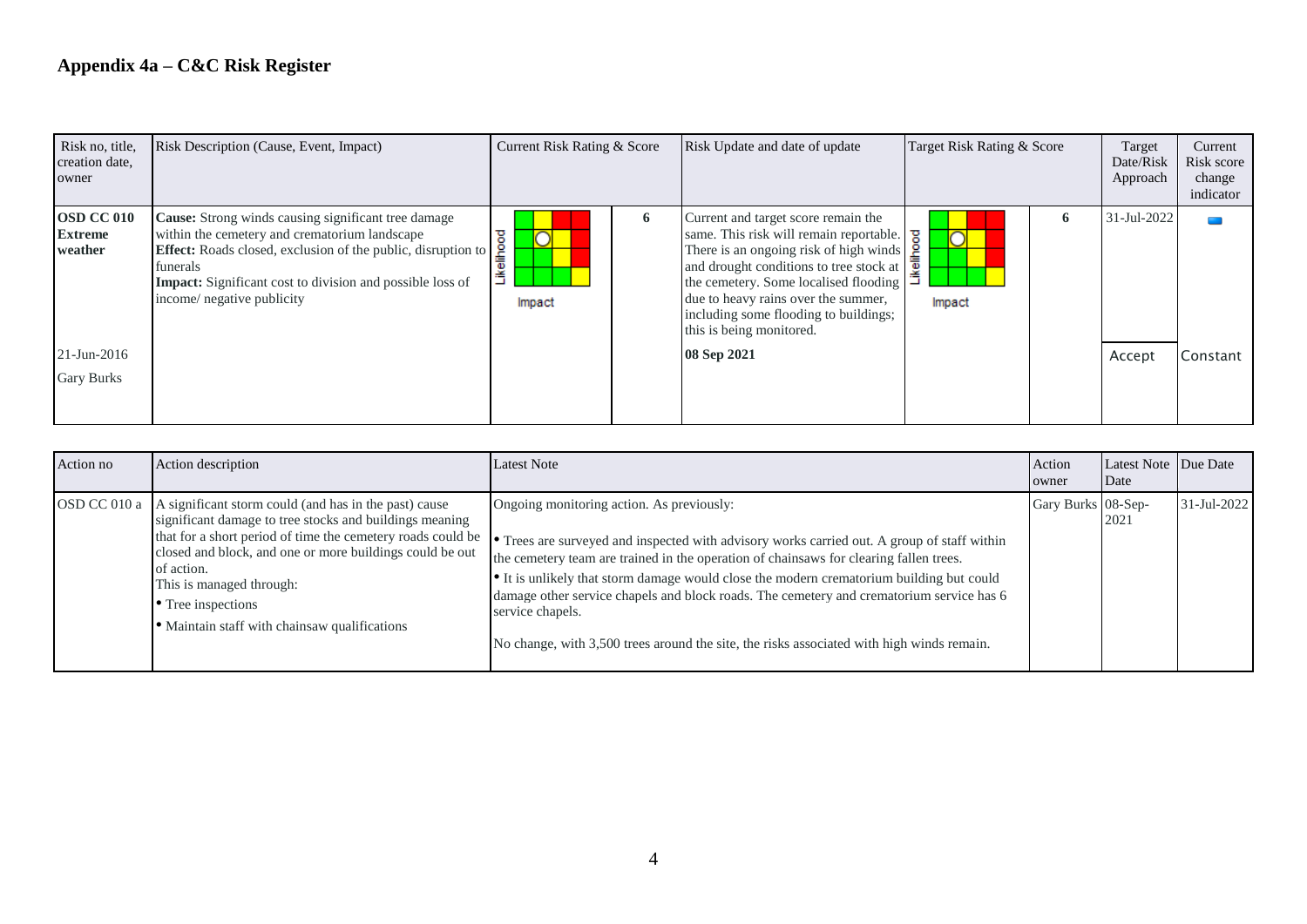## **Appendix 4a – C&C Risk Register**

| Risk no, title,<br>creation date,<br>owner     | Risk Description (Cause, Event, Impact)                                                                                                                                                                                                                                                          | Current Risk Rating & Score |   | Risk Update and date of update                                                                                                                                                                                                                                                                                                                                                                              | Target Risk Rating & Score |   | Target<br>Date/Risk<br>Approach | Current<br>Risk score<br>change<br>indicator |
|------------------------------------------------|--------------------------------------------------------------------------------------------------------------------------------------------------------------------------------------------------------------------------------------------------------------------------------------------------|-----------------------------|---|-------------------------------------------------------------------------------------------------------------------------------------------------------------------------------------------------------------------------------------------------------------------------------------------------------------------------------------------------------------------------------------------------------------|----------------------------|---|---------------------------------|----------------------------------------------|
| <b>OSD CC 010</b><br><b>Extreme</b><br>weather | <b>Cause:</b> Strong winds causing significant tree damage<br>within the cemetery and crematorium landscape<br><b>Effect:</b> Roads closed, exclusion of the public, disruption to<br>funerals<br><b>Impact:</b> Significant cost to division and possible loss of<br>income/ negative publicity | ष्ठ<br>Likelihoo<br>Impact  | 6 | Current and target score remain the<br>same. This risk will remain reportable. $\frac{8}{9}$<br>There is an ongoing risk of high winds $\frac{2}{5}$<br>and drought conditions to tree stock at $\frac{1}{2}$<br>the cemetery. Some localised flooding<br>the cemetery. Some localised flooding<br>due to heavy rains over the summer,<br>including some flooding to buildings;<br>this is being monitored. | n<br>Impact                | n | 31-Jul-2022                     |                                              |
| 21-Jun-2016                                    |                                                                                                                                                                                                                                                                                                  |                             |   | 08 Sep 2021                                                                                                                                                                                                                                                                                                                                                                                                 |                            |   | Accept                          | Constant                                     |
| Gary Burks                                     |                                                                                                                                                                                                                                                                                                  |                             |   |                                                                                                                                                                                                                                                                                                                                                                                                             |                            |   |                                 |                                              |

| Action no | Action description                                                                                                                                                                                                                                                                                                                                                          | <b>Latest Note</b>                                                                                                                                                                                                                                                                                                                                                                                                                                                                                                                          | Action<br>owner    | Latest Note Due Date<br>Date |             |
|-----------|-----------------------------------------------------------------------------------------------------------------------------------------------------------------------------------------------------------------------------------------------------------------------------------------------------------------------------------------------------------------------------|---------------------------------------------------------------------------------------------------------------------------------------------------------------------------------------------------------------------------------------------------------------------------------------------------------------------------------------------------------------------------------------------------------------------------------------------------------------------------------------------------------------------------------------------|--------------------|------------------------------|-------------|
|           | OSD CC 010 a   A significant storm could (and has in the past) cause<br>significant damage to tree stocks and buildings meaning<br>that for a short period of time the cemetery roads could be<br>closed and block, and one or more buildings could be out<br>of action.<br>This is managed through:<br>• Tree inspections<br>· Maintain staff with chainsaw qualifications | Ongoing monitoring action. As previously:<br>• Trees are surveyed and inspected with advisory works carried out. A group of staff within<br>the cemetery team are trained in the operation of chainsaws for clearing fallen trees.<br>• It is unlikely that storm damage would close the modern crematorium building but could<br>damage other service chapels and block roads. The cemetery and crematorium service has 6<br>service chapels.<br>No change, with 3,500 trees around the site, the risks associated with high winds remain. | Gary Burks 08-Sep- | 2021                         | 31-Jul-2022 |